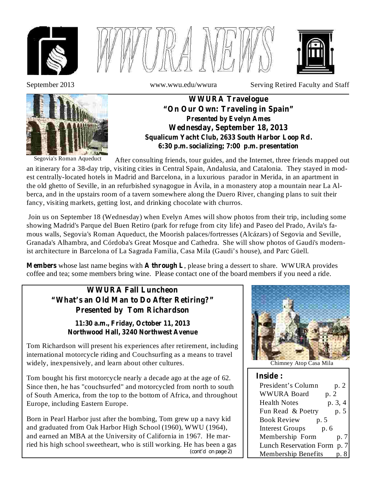





September 2013 www.wwu.edu/wwura Serving Retired Faculty and Staff



**WWURA Travelogue "On Our Own: Traveling in Spain" Presented by Evelyn Ames Wednesday, September 18, 2013 Squalicum Yacht Club, 2633 South Harbor Loop Rd. 6:30 p.m. socializing; 7:00 p.m. presentation**

Segovia's Roman Aqueduct

After consulting friends, tour guides, and the Internet, three friends mapped out an itinerary for a 38-day trip, visiting cities in Central Spain, Andalusia, and Catalonia. They stayed in modest centrally-located hotels in Madrid and Barcelona, in a luxurious parador in Merida, in an apartment in the old ghetto of Seville, in an refurbished synagogue in Ávila, in a monastery atop a mountain near La Alberca, and in the upstairs room of a tavern somewhere along the Duero River, changing plans to suit their fancy, visiting markets, getting lost, and drinking chocolate with churros.

Join us on September 18 (Wednesday) when Evelyn Ames will show photos from their trip, including some showing Madrid's Parque del Buen Retiro (park for refuge from city life) and Paseo del Prado, Avila's famous walls, Segovia's Roman Aqueduct, the Moorish palaces/fortresses (Alcázars) of Segovia and Seville, Granada's Alhambra, and Córdoba's Great Mosque and Cathedra. She will show photos of Gaudi's modernist architecture in Barcelona of La Sagrada Familia, Casa Mila (Gaudi's house), and Parc Güell.

**Members** whose last name begins with **A through L**, please bring a dessert to share. WWURA provides coffee and tea; some members bring wine. Please contact one of the board members if you need a ride.

## **WWURA Fall Luncheon "What's an Old Man to Do After Retiring?" Presented by Tom Richardson**

**11:30 a.m., Friday, October 11, 2013 Northwood Hall, 3240 Northwest Avenue**

Tom Richardson will present his experiences after retirement, including international motorcycle riding and Couchsurfing as a means to travel widely, inexpensively, and learn about other cultures.

Tom bought his first motorcycle nearly a decade ago at the age of 62. Since then, he has "couchsurfed" and motorcycled from north to south of South America, from the top to the bottom of Africa, and throughout Europe, including Eastern Europe.

Born in Pearl Harbor just after the bombing, Tom grew up a navy kid and graduated from Oak Harbor High School (1960), WWU (1964), and earned an MBA at the University of California in 1967. He married his high school sweetheart, who is still working. He has been a gas *(cont'd on page 2)*



Chimney Atop Casa Mila

| <b>Inside:</b>                 |         |  |
|--------------------------------|---------|--|
| President's Column             | p. 2    |  |
| <b>WWURA Board</b><br>p. 2     |         |  |
| <b>Health Notes</b>            | p. 3, 4 |  |
| Fun Read & Poetry              | p. 5    |  |
| <b>Book Review</b><br>p. 5     |         |  |
| <b>Interest Groups</b><br>p. 6 |         |  |
| Membership Form                | p.7     |  |
| Lunch Reservation Form p. 7    |         |  |
| <b>Membership Benefits</b>     |         |  |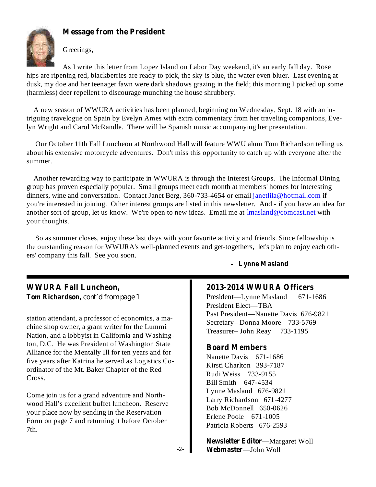

## **Message from the President**

Greetings,

As I write this letter from Lopez Island on Labor Day weekend, it's an early fall day. Rose hips are ripening red, blackberries are ready to pick, the sky is blue, the water even bluer. Last evening at dusk, my doe and her teenager fawn were dark shadows grazing in the field; this morning I picked up some (harmless) deer repellent to discourage munching the house shrubbery.

A new season of WWURA activities has been planned, beginning on Wednesday, Sept. 18 with an intriguing travelogue on Spain by Evelyn Ames with extra commentary from her traveling companions, Evelyn Wright and Carol McRandle. There will be Spanish music accompanying her presentation.

Our October 11th Fall Luncheon at Northwood Hall will feature WWU alum Tom Richardson telling us about his extensive motorcycle adventures. Don't miss this opportunity to catch up with everyone after the summer.

Another rewarding way to participate in WWURA is through the Interest Groups. The Informal Dining group has proven especially popular. Small groups meet each month at members' homes for interesting dinners, wine and conversation. Contact Janet Berg, 360-733-4654 or email janetlila@hotmail.com if you're interested in joining. Other interest groups are listed in this newsletter. And - if you have an idea for another sort of group, let us know. We're open to new ideas. Email me at lmasland@comcast.net with your thoughts.

So as summer closes, enjoy these last days with your favorite activity and friends. Since fellowship is the outstanding reason for WWURA's well-planned events and get-togethers, let's plan to enjoy each others' company this fall. See you soon.

## **WWURA Fall Luncheon, Tom Richardson,** *cont'd from page 1*

station attendant, a professor of economics, a machine shop owner, a grant writer for the Lummi Nation, and a lobbyist in California and Washington, D.C. He was President of Washington State Alliance for the Mentally Ill for ten years and for five years after Katrina he served as Logistics Coordinator of the Mt. Baker Chapter of the Red Cross.

Come join us for a grand adventure and Northwood Hall's excellent buffet luncheon. Reserve your place now by sending in the Reservation Form on page 7 and returning it before October 7th.

- **Lynne Masland**

## **2013-2014 WWURA Officers**

President—Lynne Masland 671-1686 President Elect—TBA Past President—Nanette Davis 676-9821 Secretary– Donna Moore 733-5769 Treasurer– John Reay 733-1195

### **Board Members**

Nanette Davis 671-1686 Kirsti Charlton 393-7187 Rudi Weiss 733-9155 Bill Smith 647-4534 Lynne Masland 676-9821 Larry Richardson 671-4277 Bob McDonnell 650-0626 Erlene Poole 671-1005 Patricia Roberts 676-2593

**Newsletter Editor—Margaret Woll** —John Woll **Webmaster**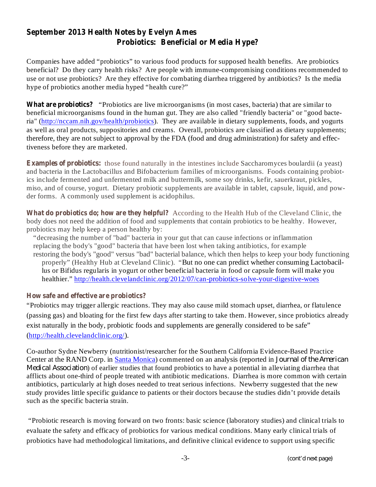## **September 2013 Health Notes by Evelyn Ames Probiotics: Beneficial or Media Hype?**

Companies have added "probiotics" to various food products for supposed health benefits. Are probiotics beneficial? Do they carry health risks? Are people with immune-compromising conditions recommended to use or not use probiotics? Are they effective for combating diarrhea triggered by antibiotics? Is the media hype of probiotics another media hyped "health cure?"

**What are probiotics?** "Probiotics are live microorganisms (in most cases, bacteria) that are similar to beneficial microorganisms found in the human gut. They are also called "friendly bacteria" or "good bacteria" (http://nccam.nih.gov/health/probiotics). They are available in dietary supplements, foods, and yogurts as well as oral products, suppositories and creams. Overall, probiotics are classified as dietary supplements; therefore, they are not subject to approval by the FDA (food and drug administration) for safety and effectiveness before they are marketed.

**Examples of probiotics:** those found naturally in the intestines include Saccharomyces boulardii (a yeast) and bacteria in the Lactobacillus and Bifobacterium families of microorganisms. Foods containing probiotics include fermented and unfermented milk and buttermilk, some soy drinks, kefir, sauerkraut, pickles, miso, and of course, yogurt. Dietary probiotic supplements are available in tablet, capsule, liquid, and powder forms. A commonly used supplement is acidophilus.

**What do probiotics do; how are they helpful?** According to the Health Hub of the Cleveland Clinic, the body does not need the addition of food and supplements that contain probiotics to be healthy. However, probiotics may help keep a person healthy by:

"decreasing the number of "bad" bacteria in your gut that can cause infections or inflammation replacing the body's "good" bacteria that have been lost when taking antibiotics, for example restoring the body's "good" versus "bad" bacterial balance, which then helps to keep your body functioning properly" (Healthy Hub at Cleveland Clinic). "But no one can predict whether consuming Lactobacillus or Bifidus regularis in yogurt or other beneficial bacteria in food or capsule form will make you healthier." http://health.clevelandclinic.org/2012/07/can-probiotics-solve-your-digestive-woes

## **How safe and effective are probiotics?**

"Probiotics may trigger allergic reactions. They may also cause mild stomach upset, diarrhea, or flatulence (passing gas) and bloating for the first few days after starting to take them. However, since probiotics already exist naturally in the body, probiotic foods and supplements are generally considered to be safe" (http://health.clevelandclinic.org/).

Co-author Sydne Newberry (nutritionist/researcher for the Southern California Evidence-Based Practice Center at the RAND Corp. in Santa Monica) commented on an analysis (reported in *Journal of the American Medical Association*) of earlier studies that found probiotics to have a potential in alleviating diarrhea that afflicts about one-third of people treated with antibiotic medications. Diarrhea is more common with certain antibiotics, particularly at high doses needed to treat serious infections. Newberry suggested that the new study provides little specific guidance to patients or their doctors because the studies didn't provide details such as the specific bacteria strain.

"Probiotic research is moving forward on two fronts: basic science (laboratory studies) and clinical trials to evaluate the safety and efficacy of probiotics for various medical conditions. Many early clinical trials of probiotics have had methodological limitations, and definitive clinical evidence to support using specific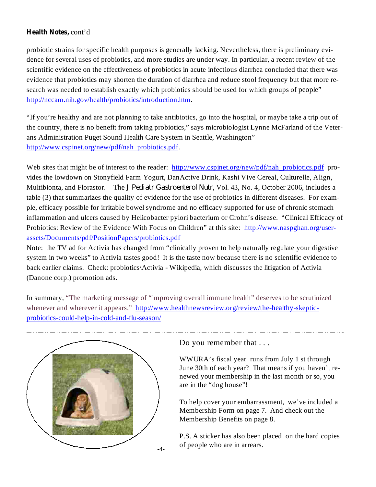## **Health Notes,** cont'd

probiotic strains for specific health purposes is generally lacking. Nevertheless, there is preliminary evidence for several uses of probiotics, and more studies are under way. In particular, a recent review of the scientific evidence on the effectiveness of probiotics in acute infectious diarrhea concluded that there was evidence that probiotics may shorten the duration of diarrhea and reduce stool frequency but that more research was needed to establish exactly which probiotics should be used for which groups of people" http://nccam.nih.gov/health/probiotics/introduction.htm.

"If you're healthy and are not planning to take antibiotics, go into the hospital, or maybe take a trip out of the country, there is no benefit from taking probiotics," says microbiologist Lynne McFarland of the Veterans Administration Puget Sound Health Care System in Seattle, Washington" http://www.cspinet.org/new/pdf/nah\_probiotics.pdf.

Web sites that might be of interest to the reader: http://www.cspinet.org/new/pdf/nah\_probiotics.pdf provides the lowdown on Stonyfield Farm Yogurt, DanActive Drink, Kashi Vive Cereal, Culturelle, Align, Multibionta, and Florastor. The *J Pediatr Gastroenterol Nutr*, Vol. 43, No. 4, October 2006, includes a table (3) that summarizes the quality of evidence for the use of probiotics in different diseases. For example, efficacy possible for irritable bowel syndrome and no efficacy supported for use of chronic stomach inflammation and ulcers caused by Helicobacter pylori bacterium or Crohn's disease. "Clinical Efficacy of Probiotics: Review of the Evidence With Focus on Children" at this site: http://www.naspghan.org/userassets/Documents/pdf/PositionPapers/probiotics.pdf

Note: the TV ad for Activia has changed from "clinically proven to help naturally regulate your digestive system in two weeks" to Activia tastes good! It is the taste now because there is no scientific evidence to back earlier claims. Check: probiotics\Activia - Wikipedia, which discusses the litigation of Activia (Danone corp.) promotion ads.

In summary, "The marketing message of "improving overall immune health" deserves to be scrutinized whenever and wherever it appears." http://www.healthnewsreview.org/review/the-healthy-skepticprobiotics-could-help-in-cold-and-flu-season/



Do you remember that . . .

WWURA's fiscal year runs from July 1 st through June 30th of each year? That means if you haven't renewed your membership in the last month or so, you are in the "dog house"!

To help cover your embarrassment, we've included a Membership Form on page 7. And check out the Membership Benefits on page 8.

P.S. A sticker has also been placed on the hard copies of people who are in arrears.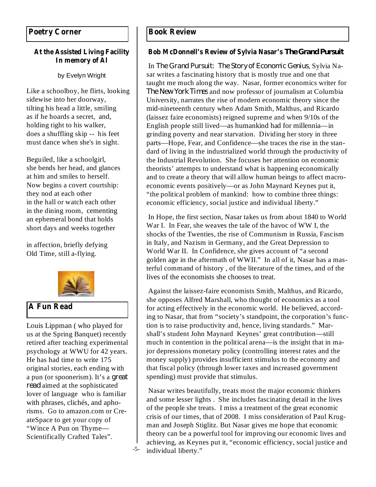# **In memory of Al**

by Evelyn Wright

Like a schoolboy, he flirts, looking sidewise into her doorway, tilting his head a little, smiling as if he hoards a secret, and, holding tight to his walker, does a shuffling skip -- his feet must dance when she's in sight.

Beguiled, like a schoolgirl, she bends her head, and glances at him and smiles to herself. Now begins a covert courtship: they nod at each other in the hall or watch each other in the dining room, cementing an ephemeral bond that holds short days and weeks together

in affection, briefly defying Old Time, still a-flying.



## **A Fun Read**

Louis Lippman ( who played for us at the Spring Banquet) recently retired after teaching experimental psychology at WWU for 42 years. He has had time to write 175 original stories, each ending with a pun (or spoonerism). It's a *great* read aimed at the sophisticated lover of language who is familiar with phrases, clichés, and aphorisms. Go to amazon.com or CreateSpace to get your copy of "Wince A Pun on Thyme— Scientifically Crafted Tales".

-5-

## **At the Assisted Living Facility Bob McDonnell's Review of Sylvia Nasar's** *The Grand Pursuit*

In The Grand Pursuit: The Story of *Economic Genius*, Sylvia Nasar writes a fascinating history that is mostly true and one that taught me much along the way. Nasar, former economics writer for and now professor of journalism at Columbia *The New York Times* University, narrates the rise of modern economic theory since the mid-nineteenth century when Adam Smith, Malthus, and Ricardo (laissez faire economists) reigned supreme and when 9/10s of the English people still lived—as humankind had for millennia—in grinding poverty and near starvation. Dividing her story in three parts—Hope, Fear, and Confidence—she traces the rise in the standard of living in the industrialized world through the productivity of the Industrial Revolution. She focuses her attention on economic theorists' attempts to understand what is happening economically and to create a theory that will allow human beings to affect macroeconomic events positively—or as John Maynard Keynes put it, "the political problem of mankind: how to combine three things: economic efficiency, social justice and individual liberty."

In Hope, the first section, Nasar takes us from about 1840 to World War I. In Fear, she weaves the tale of the havoc of WW I, the shocks of the Twenties, the rise of Communism in Russia, Fascism in Italy, and Nazism in Germany, and the Great Depression to World War II. In Confidence, she gives account of "a second golden age in the aftermath of WWII." In all of it, Nasar has a masterful command of history , of the literature of the times, and of the lives of the economists she chooses to treat.

Against the laissez-faire economists Smith, Malthus, and Ricardo, she opposes Alfred Marshall, who thought of economics as a tool for acting effectively in the economic world. He believed, according to Nasar, that from "society's standpoint, the corporation's function is to raise productivity and, hence, living standards." Marshall's student John Maynard Keynes' great contribution—still much in contention in the political arena—is the insight that in major depressions monetary policy (controlling interest rates and the money supply) provides insufficient stimulus to the economy and that fiscal policy (through lower taxes and increased government spending) must provide that stimulus.

Nasar writes beautifully, treats most the major economic thinkers and some lesser lights . She includes fascinating detail in the lives of the people she treats. I miss a treatment of the great economic crisis of our times, that of 2008. I miss consideration of Paul Krugman and Joseph Stiglitz. But Nasar gives me hope that economic theory can be a powerful tool for improving our economic lives and achieving, as Keynes put it, "economic efficiency, social justice and individual liberty."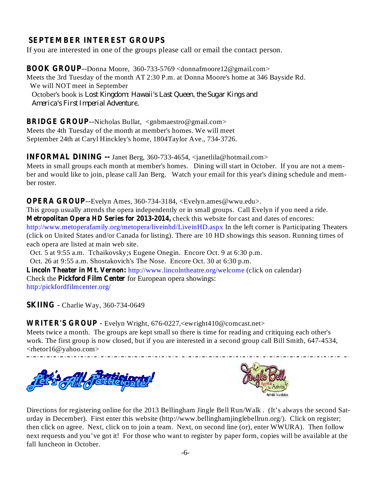## **SEPTEMBER INTEREST GROUPS**

If you are interested in one of the groups please call or email the contact person.

**BOOK GROUP** --Donna Moore, 360-733-5769 <donnafmoore12@gmail.com> Meets the 3rd Tuesday of the month AT 2:30 P.m. at Donna Moore's home at 346 Bayside Rd. We will NOT meet in September October's book is *Lost Kingdom: Hawaii's Last Queen, the Sugar Kings and* . *America's First Imperial Adventure*

**BRIDGE GROUP** --Nicholas Bullat, <gnbmaestro@gmail.com> Meets the 4th Tuesday of the month at member's homes. We will meet September 24th at Caryl Hinckley's home, 1804Taylor Ave., 734-3726.

**INFORMAL DINING --** Janet Berg, 360-733-4654, <janetlila@hotmail.com> Meets in small groups each month at member's homes. Dining will start in October. If you are not a member and would like to join, please call Jan Berg. Watch your email for this year's dining schedule and member roster.

**OPERA GROUP** --Evelyn Ames, 360-734-3184, <Evelyn.ames@wwu.edu>. **Metropolitan Opera HD Series for 2013-2014,** check this website for cast and dates of encores: This group usually attends the opera independently or in small groups. Call Evelyn if you need a ride. http://www.metoperafamily.org/metopera/liveinhd/LiveinHD.aspx In the left corner is Participating Theaters (click on United States and/or Canada for listing). There are 10 HD showings this season. Running times of each opera are listed at main web site.

Oct. 5 at 9:55 a.m. Tchaikovsky;s Eugene Onegin. Encore Oct. 9 at 6:30 p.m.

Oct. 26 at 9:55 a.m. Shostakovich's The Nose. Encore Oct. 30 at 6:30 p.m.

**Lincoln Theater in Mt. Vernon:** http://www.lincolntheatre.org/welcome (click on calendar) Check the **Pickford Film Center** for European opera showings: http:/pickfordfilmcenter.org/

**SKIING** - Charlie Way, 360-734-0649

**WRITER'S GROUP** - Evelyn Wright, 676-0227,<ewright410@comcast.net>

Meets twice a month. The groups are kept small so there is time for reading and critiquing each other's work. The first group is now closed, but if you are interested in a second group call Bill Smith, 647-4534, <rhetor16@yahoo.com>





Directions for registering online for the 2013 Bellingham Jingle Bell Run/Walk . (It's always the second Saturday in December). First enter this website (http://www.bellinghamjinglebellrun.org/). Click on register; then click on agree. Next, click on to join a team. Next, on second line (or), enter WWURA). Then follow next requests and you've got it! For those who want to register by paper form, copies will be available at the fall luncheon in October.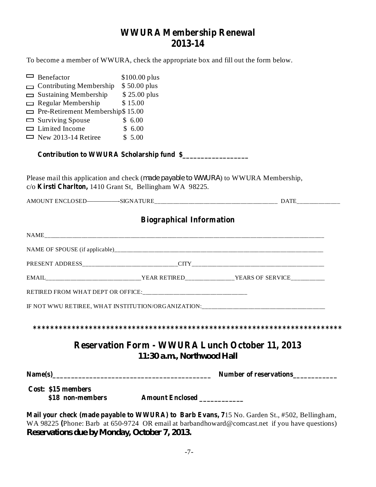## **WWURA Membership Renewal 2013-14**

To become a member of WWURA, check the appropriate box and fill out the form below.

| $\Box$ Benefactor                                        | $$100.00$ plus                            |                                                                                     |
|----------------------------------------------------------|-------------------------------------------|-------------------------------------------------------------------------------------|
| $\Box$ Contributing Membership \$50.00 plus              |                                           |                                                                                     |
| $\Box$ Sustaining Membership                             | \$25.00 plus                              |                                                                                     |
| $\Box$ Regular Membership                                | \$15.00                                   |                                                                                     |
| $\Box$ Pre-Retirement Membership\$ 15.00                 |                                           |                                                                                     |
| $\Box$ Surviving Spouse                                  | \$6.00                                    |                                                                                     |
| $\Box$ Limited Income                                    | \$6.00                                    |                                                                                     |
| $\Box$ New 2013-14 Retiree \$ 5.00                       |                                           |                                                                                     |
|                                                          | Contribution to WWURA Scholarship fund \$ |                                                                                     |
| c/o Kirsti Charlton, 1410 Grant St, Bellingham WA 98225. |                                           | Please mail this application and check (made payable to WWURA) to WWURA Membership, |
|                                                          |                                           |                                                                                     |
|                                                          | <b>Biographical Information</b>           |                                                                                     |
|                                                          |                                           |                                                                                     |
|                                                          |                                           |                                                                                     |
|                                                          |                                           |                                                                                     |
|                                                          |                                           |                                                                                     |
|                                                          |                                           |                                                                                     |
|                                                          |                                           | IF NOT WWU RETIREE, WHAT INSTITUTION/ORGANIZATION:______________________________    |
|                                                          |                                           |                                                                                     |
|                                                          | 11:30 a.m., Northwood Hall                | <b>Reservation Form - WWURA Lunch October 11, 2013</b>                              |
|                                                          |                                           | Number of reservations                                                              |
| Cost: \$15 members<br>\$18 non-members                   | Amount Enclosed _________                 |                                                                                     |

**Mail your check (made payable to WWURA) to Barb Evans, 7** 15 No. Garden St., #502, Bellingham, WA 98225 (Phone: Barb at 650-9724 OR email at barbandhoward@comcast.net if you have questions) *Reservations due by Monday, October 7, 2013.*